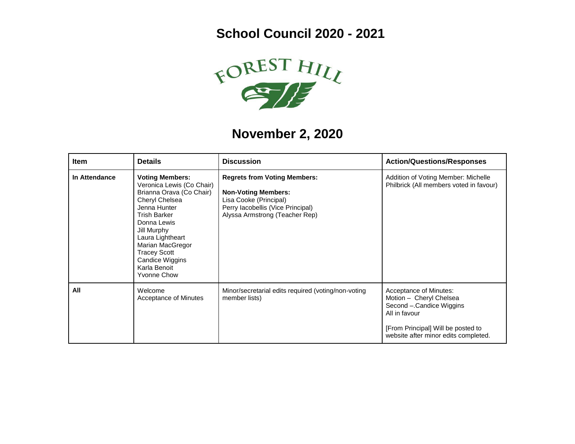**School Council 2020 - 2021**



## **November 2, 2020**

| Item          | <b>Details</b>                                                                                                                                                                                                                                                                                 | <b>Discussion</b>                                                                                                                                                  | <b>Action/Questions/Responses</b>                                                                                                                                            |
|---------------|------------------------------------------------------------------------------------------------------------------------------------------------------------------------------------------------------------------------------------------------------------------------------------------------|--------------------------------------------------------------------------------------------------------------------------------------------------------------------|------------------------------------------------------------------------------------------------------------------------------------------------------------------------------|
| In Attendance | <b>Voting Members:</b><br>Veronica Lewis (Co Chair)<br>Brianna Orava (Co Chair)<br>Cheryl Chelsea<br>Jenna Hunter<br><b>Trish Barker</b><br>Donna Lewis<br>Jill Murphy<br>Laura Lightheart<br>Marian MacGregor<br><b>Tracey Scott</b><br>Candice Wiggins<br>Karla Benoit<br><b>Yvonne Chow</b> | <b>Regrets from Voting Members:</b><br><b>Non-Voting Members:</b><br>Lisa Cooke (Principal)<br>Perry lacobellis (Vice Principal)<br>Alyssa Armstrong (Teacher Rep) | Addition of Voting Member: Michelle<br>Philbrick (All members voted in favour)                                                                                               |
| All           | Welcome<br>Acceptance of Minutes                                                                                                                                                                                                                                                               | Minor/secretarial edits required (voting/non-voting<br>member lists)                                                                                               | Acceptance of Minutes:<br>Motion - Cheryl Chelsea<br>Second - Candice Wiggins<br>All in favour<br>[From Principal] Will be posted to<br>website after minor edits completed. |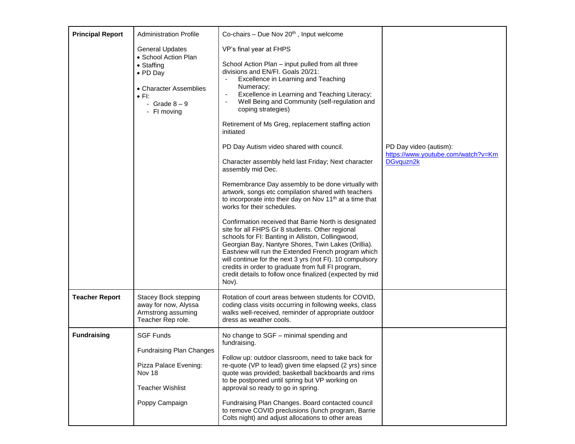| <b>Principal Report</b> | <b>Administration Profile</b>                                                                     | Co-chairs - Due Nov $20th$ , Input welcome                                                                                                                                                                                                                                                                                                                                                                                                                         |                                                              |
|-------------------------|---------------------------------------------------------------------------------------------------|--------------------------------------------------------------------------------------------------------------------------------------------------------------------------------------------------------------------------------------------------------------------------------------------------------------------------------------------------------------------------------------------------------------------------------------------------------------------|--------------------------------------------------------------|
|                         |                                                                                                   |                                                                                                                                                                                                                                                                                                                                                                                                                                                                    |                                                              |
|                         | <b>General Updates</b><br>• School Action Plan                                                    | VP's final year at FHPS                                                                                                                                                                                                                                                                                                                                                                                                                                            |                                                              |
|                         | • Staffing<br>• PD Day<br>• Character Assemblies<br>$\bullet$ FI:<br>- Grade $8-9$<br>- FI moving | School Action Plan - input pulled from all three<br>divisions and EN/FI. Goals 20/21:<br>Excellence in Learning and Teaching<br>Numeracy;<br>Excellence in Learning and Teaching Literacy;<br>Well Being and Community (self-regulation and<br>coping strategies)                                                                                                                                                                                                  |                                                              |
|                         |                                                                                                   | Retirement of Ms Greg, replacement staffing action<br>initiated                                                                                                                                                                                                                                                                                                                                                                                                    |                                                              |
|                         |                                                                                                   | PD Day Autism video shared with council.                                                                                                                                                                                                                                                                                                                                                                                                                           | PD Day video (autism):<br>https://www.youtube.com/watch?v=Km |
|                         |                                                                                                   | Character assembly held last Friday; Next character<br>assembly mid Dec.                                                                                                                                                                                                                                                                                                                                                                                           | DGvquzn2k                                                    |
|                         |                                                                                                   | Remembrance Day assembly to be done virtually with<br>artwork, songs etc compilation shared with teachers<br>to incorporate into their day on Nov 11 <sup>th</sup> at a time that<br>works for their schedules.                                                                                                                                                                                                                                                    |                                                              |
|                         |                                                                                                   | Confirmation received that Barrie North is designated<br>site for all FHPS Gr 8 students. Other regional<br>schools for FI: Banting in Alliston, Collingwood,<br>Georgian Bay, Nantyre Shores, Twin Lakes (Orillia).<br>Eastview will run the Extended French program which<br>will continue for the next 3 yrs (not FI). 10 compulsory<br>credits in order to graduate from full FI program,<br>credit details to follow once finalized (expected by mid<br>Nov). |                                                              |
| <b>Teacher Report</b>   | <b>Stacey Bock stepping</b><br>away for now, Alyssa<br>Armstrong assuming<br>Teacher Rep role.    | Rotation of court areas between students for COVID,<br>coding class visits occurring in following weeks, class<br>walks well-received, reminder of appropriate outdoor<br>dress as weather cools.                                                                                                                                                                                                                                                                  |                                                              |
| <b>Fundraising</b>      | <b>SGF Funds</b>                                                                                  | No change to SGF - minimal spending and                                                                                                                                                                                                                                                                                                                                                                                                                            |                                                              |
|                         | <b>Fundraising Plan Changes</b>                                                                   | fundraising.                                                                                                                                                                                                                                                                                                                                                                                                                                                       |                                                              |
|                         | Pizza Palace Evening:<br>Nov 18                                                                   | Follow up: outdoor classroom, need to take back for<br>re-quote (VP to lead) given time elapsed (2 yrs) since<br>quote was provided; basketball backboards and rims<br>to be postponed until spring but VP working on<br>approval so ready to go in spring.                                                                                                                                                                                                        |                                                              |
|                         | <b>Teacher Wishlist</b>                                                                           |                                                                                                                                                                                                                                                                                                                                                                                                                                                                    |                                                              |
|                         | Poppy Campaign                                                                                    | Fundraising Plan Changes. Board contacted council<br>to remove COVID preclusions (lunch program, Barrie<br>Colts night) and adjust allocations to other areas                                                                                                                                                                                                                                                                                                      |                                                              |